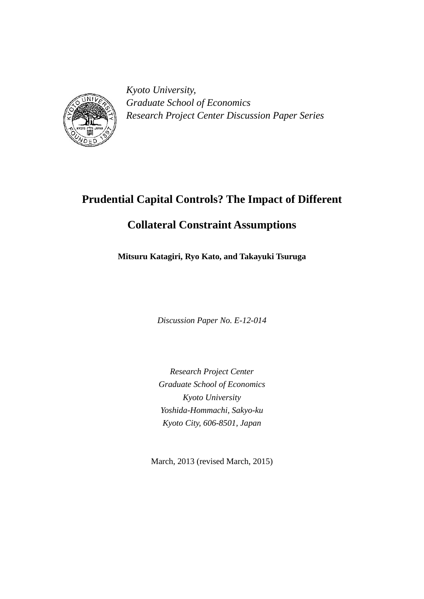

*Kyoto University, Graduate School of Economics Research Project Center Discussion Paper Series*

# **Prudential Capital Controls? The Impact of Different**

## **Collateral Constraint Assumptions**

**Mitsuru Katagiri, Ryo Kato, and Takayuki Tsuruga**

*Discussion Paper No. E-12-014*

*Research Project Center Graduate School of Economics Kyoto University Yoshida-Hommachi, Sakyo-ku Kyoto City, 606-8501, Japan*

March, 2013 (revised March, 2015)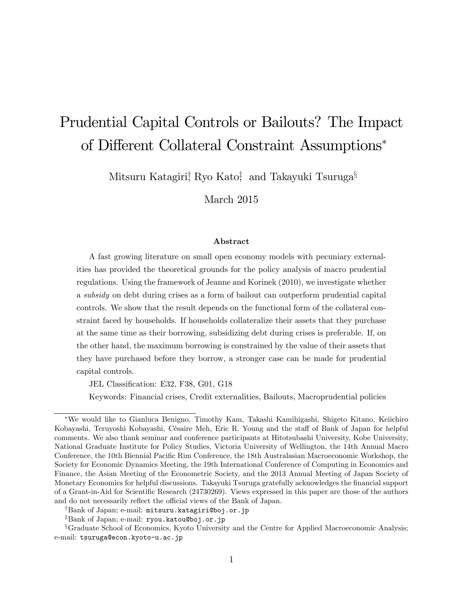# Prudential Capital Controls or Bailouts? The Impact of Different Collateral Constraint Assumptions<sup>\*</sup>

Mitsuru Katagiri $\frac{1}{2}$  Ryo Kato $\frac{4}{3}$  and Takayuki Tsuruga $\frac{5}{3}$ 

March 2015

#### Abstract

A fast growing literature on small open economy models with pecuniary externalities has provided the theoretical grounds for the policy analysis of macro prudential regulations. Using the framework of Jeanne and Korinek (2010), we investigate whether a subsidy on debt during crises as a form of bailout can outperform prudential capital controls. We show that the result depends on the functional form of the collateral constraint faced by households. If households collateralize their assets that they purchase at the same time as their borrowing, subsidizing debt during crises is preferable. If, on the other hand, the maximum borrowing is constrained by the value of their assets that they have purchased before they borrow, a stronger case can be made for prudential capital controls.

JEL Classification: E32, F38, G01, G18

Keywords: Financial crises, Credit externalities, Bailouts, Macroprudential policies

We would like to Gianluca Benigno, Timothy Kam, Takashi Kamihigashi, Shigeto Kitano, Keiichiro Kobayashi, Teruyoshi Kobayashi, Césaire Meh, Eric R. Young and the staff of Bank of Japan for helpful comments. We also thank seminar and conference participants at Hitotsubashi University, Kobe University, National Graduate Institute for Policy Studies, Victoria University of Wellington, the 14th Annual Macro Conference, the 10th Biennial Pacific Rim Conference, the 18th Australasian Macroeconomic Workshop, the Society for Economic Dynamics Meeting, the 19th International Conference of Computing in Economics and Finance, the Asian Meeting of the Econometric Society, and the 2013 Annual Meeting of Japan Society of Monetary Economics for helpful discussions. Takayuki Tsuruga gratefully acknowledges the financial support of a Grant-in-Aid for Scientific Research (24730269). Views expressed in this paper are those of the authors and do not necessarily reflect the official views of the Bank of Japan.

<sup>&</sup>lt;sup>†</sup>Bank of Japan; e-mail: mitsuru.katagiri@boj.or.jp

<sup>&</sup>lt;sup>‡</sup>Bank of Japan; e-mail: ryou.katou@boj.or.jp

<sup>&</sup>lt;sup>§</sup>Graduate School of Economics, Kyoto University and the Centre for Applied Macroeconomic Analysis; e-mail: tsuruga@econ.kyoto-u.ac.jp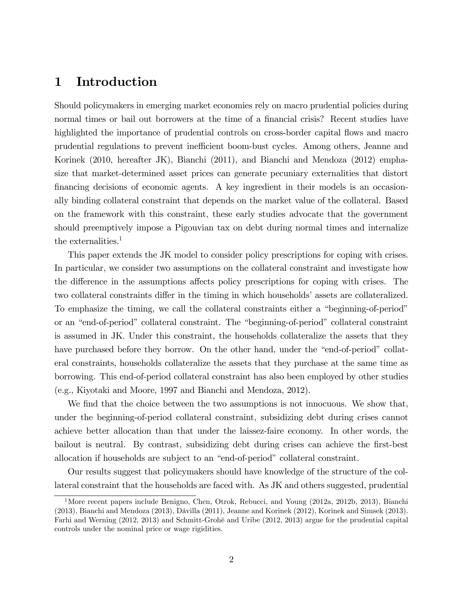### 1 Introduction

Should policymakers in emerging market economies rely on macro prudential policies during normal times or bail out borrowers at the time of a financial crisis? Recent studies have highlighted the importance of prudential controls on cross-border capital flows and macro prudential regulations to prevent inefficient boom-bust cycles. Among others, Jeanne and Korinek (2010, hereafter JK), Bianchi (2011), and Bianchi and Mendoza (2012) emphasize that market-determined asset prices can generate pecuniary externalities that distort financing decisions of economic agents. A key ingredient in their models is an occasionally binding collateral constraint that depends on the market value of the collateral. Based on the framework with this constraint, these early studies advocate that the government should preemptively impose a Pigouvian tax on debt during normal times and internalize the externalities.<sup>1</sup>

This paper extends the JK model to consider policy prescriptions for coping with crises. In particular, we consider two assumptions on the collateral constraint and investigate how the difference in the assumptions affects policy prescriptions for coping with crises. The two collateral constraints differ in the timing in which households' assets are collateralized. To emphasize the timing, we call the collateral constraints either a "beginning-of-period" or an "end-of-period" collateral constraint. The "beginning-of-period" collateral constraint is assumed in JK. Under this constraint, the households collateralize the assets that they have purchased before they borrow. On the other hand, under the "end-of-period" collateral constraints, households collateralize the assets that they purchase at the same time as borrowing. This end-of-period collateral constraint has also been employed by other studies (e.g., Kiyotaki and Moore, 1997 and Bianchi and Mendoza, 2012).

We find that the choice between the two assumptions is not innocuous. We show that, under the beginning-of-period collateral constraint, subsidizing debt during crises cannot achieve better allocation than that under the laissez-faire economy. In other words, the bailout is neutral. By contrast, subsidizing debt during crises can achieve the first-best allocation if households are subject to an "end-of-period" collateral constraint.

Our results suggest that policymakers should have knowledge of the structure of the collateral constraint that the households are faced with. As JK and others suggested, prudential

<sup>&</sup>lt;sup>1</sup>More recent papers include Benigno, Chen, Otrok, Rebucci, and Young (2012a, 2012b, 2013), Bianchi  $(2013)$ , Bianchi and Mendoza  $(2013)$ , Dávilla  $(2011)$ , Jeanne and Korinek  $(2012)$ , Korinek and Simsek  $(2013)$ . Farhi and Werning (2012, 2013) and Schmitt-Grohé and Uribe (2012, 2013) argue for the prudential capital controls under the nominal price or wage rigidities.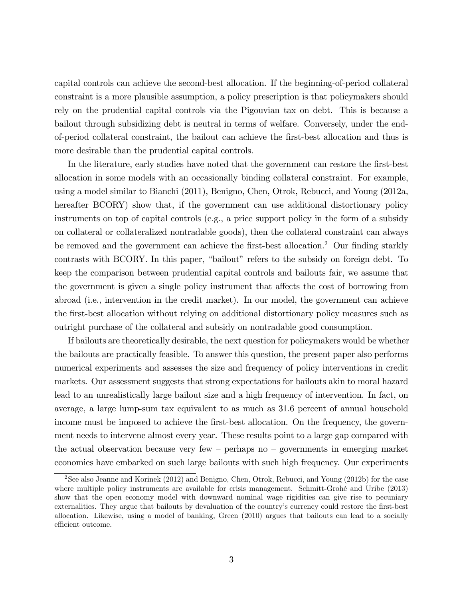capital controls can achieve the second-best allocation. If the beginning-of-period collateral constraint is a more plausible assumption, a policy prescription is that policymakers should rely on the prudential capital controls via the Pigouvian tax on debt. This is because a bailout through subsidizing debt is neutral in terms of welfare. Conversely, under the endof-period collateral constraint, the bailout can achieve the Örst-best allocation and thus is more desirable than the prudential capital controls.

In the literature, early studies have noted that the government can restore the Örst-best allocation in some models with an occasionally binding collateral constraint. For example, using a model similar to Bianchi (2011), Benigno, Chen, Otrok, Rebucci, and Young (2012a, hereafter BCORY) show that, if the government can use additional distortionary policy instruments on top of capital controls (e.g., a price support policy in the form of a subsidy on collateral or collateralized nontradable goods), then the collateral constraint can always be removed and the government can achieve the first-best allocation.<sup>2</sup> Our finding starkly contrasts with BCORY. In this paper, "bailout" refers to the subsidy on foreign debt. To keep the comparison between prudential capital controls and bailouts fair, we assume that the government is given a single policy instrument that affects the cost of borrowing from abroad (i.e., intervention in the credit market). In our model, the government can achieve the first-best allocation without relying on additional distortionary policy measures such as outright purchase of the collateral and subsidy on nontradable good consumption.

If bailouts are theoretically desirable, the next question for policymakers would be whether the bailouts are practically feasible. To answer this question, the present paper also performs numerical experiments and assesses the size and frequency of policy interventions in credit markets. Our assessment suggests that strong expectations for bailouts akin to moral hazard lead to an unrealistically large bailout size and a high frequency of intervention. In fact, on average, a large lump-sum tax equivalent to as much as 31.6 percent of annual household income must be imposed to achieve the first-best allocation. On the frequency, the government needs to intervene almost every year. These results point to a large gap compared with the actual observation because very few  $-$  perhaps no  $-$  governments in emerging market economies have embarked on such large bailouts with such high frequency. Our experiments

<sup>&</sup>lt;sup>2</sup>See also Jeanne and Korinek (2012) and Benigno, Chen, Otrok, Rebucci, and Young (2012b) for the case where multiple policy instruments are available for crisis management. Schmitt-Grohé and Uribe (2013) show that the open economy model with downward nominal wage rigidities can give rise to pecuniary externalities. They argue that bailouts by devaluation of the country's currency could restore the first-best allocation. Likewise, using a model of banking, Green (2010) argues that bailouts can lead to a socially efficient outcome.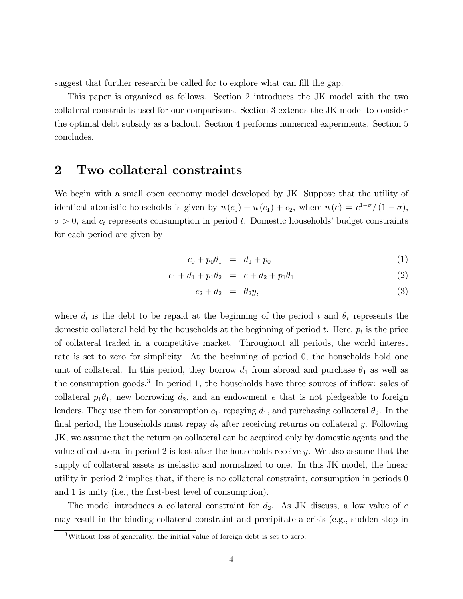suggest that further research be called for to explore what can fill the gap.

This paper is organized as follows. Section 2 introduces the JK model with the two collateral constraints used for our comparisons. Section 3 extends the JK model to consider the optimal debt subsidy as a bailout. Section 4 performs numerical experiments. Section 5 concludes.

### 2 Two collateral constraints

We begin with a small open economy model developed by JK. Suppose that the utility of identical atomistic households is given by  $u(c_0) + u(c_1) + c_2$ , where  $u(c) = c^{1-\sigma}/(1-\sigma)$ ,  $\sigma > 0$ , and  $c_t$  represents consumption in period t. Domestic households' budget constraints for each period are given by

$$
c_0 + p_0 \theta_1 = d_1 + p_0 \tag{1}
$$

$$
c_1 + d_1 + p_1 \theta_2 = e + d_2 + p_1 \theta_1 \tag{2}
$$

$$
c_2 + d_2 = \theta_2 y,\tag{3}
$$

where  $d_t$  is the debt to be repaid at the beginning of the period t and  $\theta_t$  represents the domestic collateral held by the households at the beginning of period  $t$ . Here,  $p_t$  is the price of collateral traded in a competitive market. Throughout all periods, the world interest rate is set to zero for simplicity. At the beginning of period 0, the households hold one unit of collateral. In this period, they borrow  $d_1$  from abroad and purchase  $\theta_1$  as well as the consumption goods.<sup>3</sup> In period 1, the households have three sources of inflow: sales of collateral  $p_1\theta_1$ , new borrowing  $d_2$ , and an endowment e that is not pledgeable to foreign lenders. They use them for consumption  $c_1$ , repaying  $d_1$ , and purchasing collateral  $\theta_2$ . In the final period, the households must repay  $d_2$  after receiving returns on collateral y. Following JK, we assume that the return on collateral can be acquired only by domestic agents and the value of collateral in period 2 is lost after the households receive y. We also assume that the supply of collateral assets is inelastic and normalized to one. In this JK model, the linear utility in period 2 implies that, if there is no collateral constraint, consumption in periods 0 and 1 is unity (i.e., the first-best level of consumption).

The model introduces a collateral constraint for  $d_2$ . As JK discuss, a low value of  $e$ may result in the binding collateral constraint and precipitate a crisis (e.g., sudden stop in

<sup>3</sup>Without loss of generality, the initial value of foreign debt is set to zero.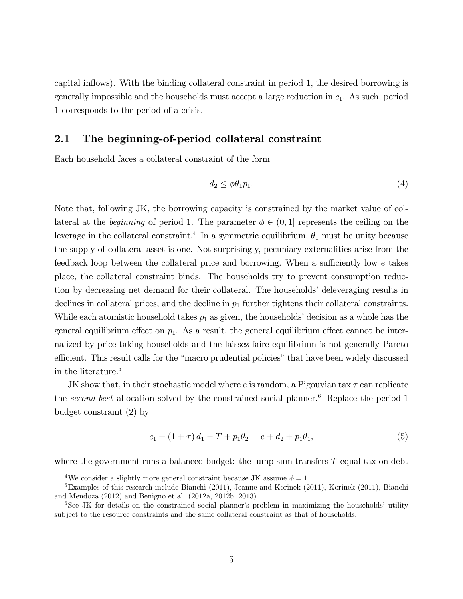capital inflows). With the binding collateral constraint in period 1, the desired borrowing is generally impossible and the households must accept a large reduction in  $c_1$ . As such, period 1 corresponds to the period of a crisis.

### 2.1 The beginning-of-period collateral constraint

Each household faces a collateral constraint of the form

$$
d_2 \le \phi \theta_1 p_1. \tag{4}
$$

Note that, following JK, the borrowing capacity is constrained by the market value of collateral at the *beginning* of period 1. The parameter  $\phi \in (0, 1]$  represents the ceiling on the leverage in the collateral constraint.<sup>4</sup> In a symmetric equilibrium,  $\theta_1$  must be unity because the supply of collateral asset is one. Not surprisingly, pecuniary externalities arise from the feedback loop between the collateral price and borrowing. When a sufficiently low  $e$  takes place, the collateral constraint binds. The households try to prevent consumption reduction by decreasing net demand for their collateral. The households' deleveraging results in declines in collateral prices, and the decline in  $p_1$  further tightens their collateral constraints. While each atomistic household takes  $p_1$  as given, the households' decision as a whole has the general equilibrium effect on  $p_1$ . As a result, the general equilibrium effect cannot be internalized by price-taking households and the laissez-faire equilibrium is not generally Pareto efficient. This result calls for the "macro prudential policies" that have been widely discussed in the literature.<sup>5</sup>

JK show that, in their stochastic model where e is random, a Pigouvian tax  $\tau$  can replicate the second-best allocation solved by the constrained social planner.<sup>6</sup> Replace the period-1 budget constraint (2) by

$$
c_1 + (1 + \tau) d_1 - T + p_1 \theta_2 = e + d_2 + p_1 \theta_1,\tag{5}
$$

where the government runs a balanced budget: the lump-sum transfers  $T$  equal tax on debt

<sup>&</sup>lt;sup>4</sup>We consider a slightly more general constraint because JK assume  $\phi = 1$ .

 ${}^{5}$ Examples of this research include Bianchi (2011), Jeanne and Korinek (2011), Korinek (2011), Bianchi and Mendoza (2012) and Benigno et al. (2012a, 2012b, 2013).

 $6$ See JK for details on the constrained social planner's problem in maximizing the households' utility subject to the resource constraints and the same collateral constraint as that of households.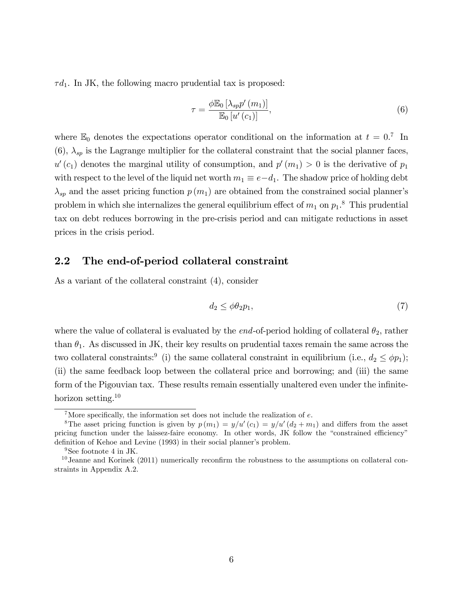$\tau d_1$ . In JK, the following macro prudential tax is proposed:

$$
\tau = \frac{\phi \mathbb{E}_0 \left[ \lambda_{sp} p'(m_1) \right]}{\mathbb{E}_0 \left[ u'(c_1) \right]},\tag{6}
$$

where  $\mathbb{E}_0$  denotes the expectations operator conditional on the information at  $t = 0$ .<sup>7</sup> In  $(6)$ ,  $\lambda_{sp}$  is the Lagrange multiplier for the collateral constraint that the social planner faces,  $u'(c_1)$  denotes the marginal utility of consumption, and  $p'(m_1) > 0$  is the derivative of  $p_1$ with respect to the level of the liquid net worth  $m_1 \equiv e-d_1$ . The shadow price of holding debt  $\lambda_{sp}$  and the asset pricing function  $p(m_1)$  are obtained from the constrained social planner's problem in which she internalizes the general equilibrium effect of  $m_1$  on  $p_1$ .<sup>8</sup> This prudential tax on debt reduces borrowing in the pre-crisis period and can mitigate reductions in asset prices in the crisis period.

### 2.2 The end-of-period collateral constraint

As a variant of the collateral constraint (4), consider

$$
d_2 \le \phi \theta_2 p_1,\tag{7}
$$

where the value of collateral is evaluated by the *end*-of-period holding of collateral  $\theta_2$ , rather than  $\theta_1$ . As discussed in JK, their key results on prudential taxes remain the same across the two collateral constraints:<sup>9</sup> (i) the same collateral constraint in equilibrium (i.e.,  $d_2 \leq \phi p_1$ ); (ii) the same feedback loop between the collateral price and borrowing; and (iii) the same form of the Pigouvian tax. These results remain essentially unaltered even under the infinitehorizon setting.<sup>10</sup>

<sup>&</sup>lt;sup>7</sup>More specifically, the information set does not include the realization of  $e$ .

<sup>&</sup>lt;sup>8</sup>The asset pricing function is given by  $p(m_1) = y/u'(c_1) = y/u'(d_2 + m_1)$  and differs from the asset pricing function under the laissez-faire economy. In other words, JK follow the "constrained efficiency" definition of Kehoe and Levine (1993) in their social planner's problem.

<sup>&</sup>lt;sup>9</sup>See footnote 4 in JK.

 $10$  Jeanne and Korinek (2011) numerically reconfirm the robustness to the assumptions on collateral constraints in Appendix A.2.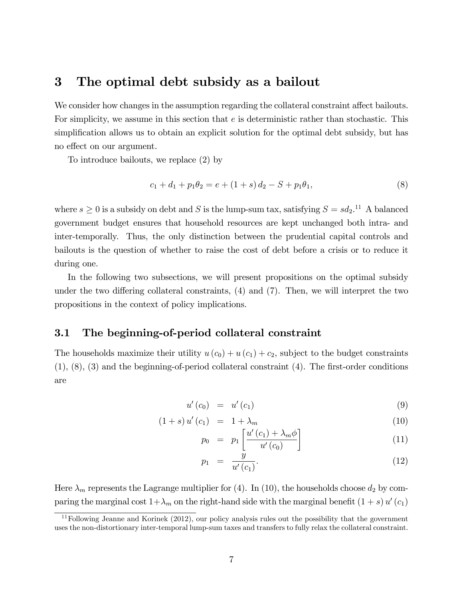### 3 The optimal debt subsidy as a bailout

We consider how changes in the assumption regarding the collateral constraint affect bailouts. For simplicity, we assume in this section that  $e$  is deterministic rather than stochastic. This simplification allows us to obtain an explicit solution for the optimal debt subsidy, but has no effect on our argument.

To introduce bailouts, we replace (2) by

$$
c_1 + d_1 + p_1 \theta_2 = e + (1 + s) d_2 - S + p_1 \theta_1, \tag{8}
$$

where  $s \geq 0$  is a subsidy on debt and S is the lump-sum tax, satisfying  $S = sd_2$ .<sup>11</sup> A balanced government budget ensures that household resources are kept unchanged both intra- and inter-temporally. Thus, the only distinction between the prudential capital controls and bailouts is the question of whether to raise the cost of debt before a crisis or to reduce it during one.

In the following two subsections, we will present propositions on the optimal subsidy under the two differing collateral constraints,  $(4)$  and  $(7)$ . Then, we will interpret the two propositions in the context of policy implications.

### 3.1 The beginning-of-period collateral constraint

The households maximize their utility  $u(c_0) + u(c_1) + c_2$ , subject to the budget constraints  $(1), (8), (3)$  and the beginning-of-period collateral constraint  $(4)$ . The first-order conditions are

$$
u'(c_0) = u'(c_1) \tag{9}
$$

$$
(1+s) u'(c_1) = 1 + \lambda_m \tag{10}
$$

$$
p_0 = p_1 \left[ \frac{u'(c_1) + \lambda_m \phi}{u'(c_0)} \right] \tag{11}
$$

$$
p_1 = \frac{y}{u'(c_1)}.\t(12)
$$

Here  $\lambda_m$  represents the Lagrange multiplier for (4). In (10), the households choose  $d_2$  by comparing the marginal cost  $1+\lambda_m$  on the right-hand side with the marginal benefit  $(1 + s) u'(c_1)$ 

<sup>11</sup>Following Jeanne and Korinek (2012), our policy analysis rules out the possibility that the government uses the non-distortionary inter-temporal lump-sum taxes and transfers to fully relax the collateral constraint.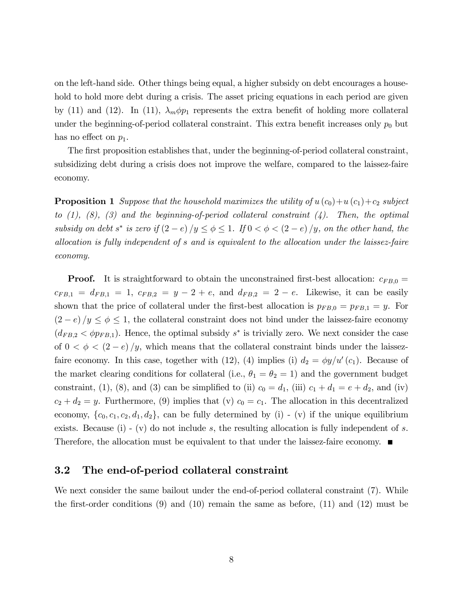on the left-hand side. Other things being equal, a higher subsidy on debt encourages a household to hold more debt during a crisis. The asset pricing equations in each period are given by (11) and (12). In (11),  $\lambda_m \phi p_1$  represents the extra benefit of holding more collateral under the beginning-of-period collateral constraint. This extra benefit increases only  $p_0$  but has no effect on  $p_1$ .

The first proposition establishes that, under the beginning-of-period collateral constraint, subsidizing debt during a crisis does not improve the welfare, compared to the laissez-faire economy.

**Proposition 1** Suppose that the household maximizes the utility of  $u(c_0)+u(c_1)+c_2$  subject to  $(1)$ ,  $(8)$ ,  $(3)$  and the beginning-of-period collateral constraint  $(4)$ . Then, the optimal subsidy on debt s<sup>\*</sup> is zero if  $(2-e)/y \le \phi \le 1$ . If  $0 < \phi < (2-e)/y$ , on the other hand, the allocation is fully independent of s and is equivalent to the allocation under the laissez-faire economy.

**Proof.** It is straightforward to obtain the unconstrained first-best allocation:  $c_{FB,0} =$  $c_{FB,1} = d_{FB,1} = 1$ ,  $c_{FB,2} = y - 2 + e$ , and  $d_{FB,2} = 2 - e$ . Likewise, it can be easily shown that the price of collateral under the first-best allocation is  $p_{FB,0} = p_{FB,1} = y$ . For  $(2-e)/y \leq \phi \leq 1$ , the collateral constraint does not bind under the laissez-faire economy  $(d_{FB,2} < \phi p_{FB,1})$ . Hence, the optimal subsidy  $s^*$  is trivially zero. We next consider the case of  $0 < \phi < (2-e)/y$ , which means that the collateral constraint binds under the laissezfaire economy. In this case, together with (12), (4) implies (i)  $d_2 = \phi y/u'(c_1)$ . Because of the market clearing conditions for collateral (i.e.,  $\theta_1 = \theta_2 = 1$ ) and the government budget constraint, (1), (8), and (3) can be simplified to (ii)  $c_0 = d_1$ , (iii)  $c_1 + d_1 = e + d_2$ , and (iv)  $c_2 + d_2 = y$ . Furthermore, (9) implies that (v)  $c_0 = c_1$ . The allocation in this decentralized economy,  $\{c_0, c_1, c_2, d_1, d_2\}$ , can be fully determined by (i) - (v) if the unique equilibrium exists. Because (i) - (v) do not include s, the resulting allocation is fully independent of s. Therefore, the allocation must be equivalent to that under the laissez-faire economy.  $\blacksquare$ 

### 3.2 The end-of-period collateral constraint

We next consider the same bailout under the end-of-period collateral constraint (7). While the first-order conditions  $(9)$  and  $(10)$  remain the same as before,  $(11)$  and  $(12)$  must be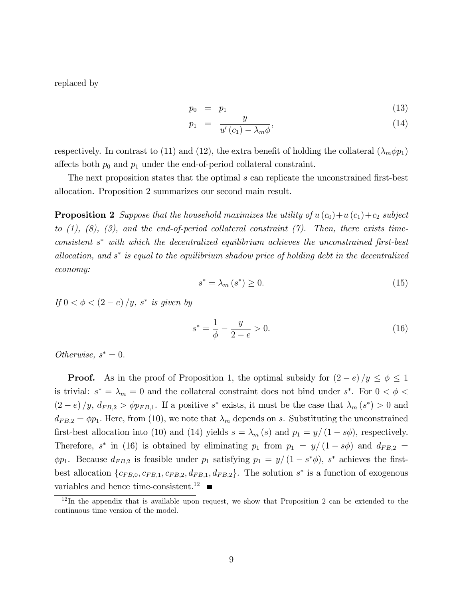replaced by

$$
p_0 = p_1 \tag{13}
$$

$$
p_1 = \frac{g}{u'(c_1) - \lambda_m \phi'},\tag{14}
$$

respectively. In contrast to (11) and (12), the extra benefit of holding the collateral  $(\lambda_m \phi p_1)$ affects both  $p_0$  and  $p_1$  under the end-of-period collateral constraint.

The next proposition states that the optimal  $s$  can replicate the unconstrained first-best allocation. Proposition 2 summarizes our second main result.

**Proposition 2** Suppose that the household maximizes the utility of  $u(c_0)+u(c_1)+c_2$  subject to  $(1)$ ,  $(8)$ ,  $(3)$ , and the end-of-period collateral constraint  $(7)$ . Then, there exists timeconsistent  $s^*$  with which the decentralized equilibrium achieves the unconstrained first-best allocation, and  $s^*$  is equal to the equilibrium shadow price of holding debt in the decentralized economy:

$$
s^* = \lambda_m(s^*) \ge 0. \tag{15}
$$

If  $0 < \phi < (2 - e)/y$ , s<sup>\*</sup> is given by

$$
s^* = \frac{1}{\phi} - \frac{y}{2 - e} > 0.
$$
 (16)

Otherwise,  $s^* = 0$ .

**Proof.** As in the proof of Proposition 1, the optimal subsidy for  $(2-e)/y \le \phi \le 1$ is trivial:  $s^* = \lambda_m = 0$  and the collateral constraint does not bind under  $s^*$ . For  $0 < \phi <$  $(2-e)/y$ ,  $d_{FB,2} > \phi p_{FB,1}$ . If a positive s<sup>\*</sup> exists, it must be the case that  $\lambda_m(s^*) > 0$  and  $d_{FB,2} = \phi p_1$ . Here, from (10), we note that  $\lambda_m$  depends on s. Substituting the unconstrained first-best allocation into (10) and (14) yields  $s = \lambda_m(s)$  and  $p_1 = y/(1 - s\phi)$ , respectively. Therefore,  $s^*$  in (16) is obtained by eliminating  $p_1$  from  $p_1 = y/(1 - s\phi)$  and  $d_{FB,2} =$  $\phi p_1$ . Because  $d_{FB,2}$  is feasible under  $p_1$  satisfying  $p_1 = y/(1 - s^* \phi)$ , s<sup>\*</sup> achieves the firstbest allocation  $\{c_{FB,0}, c_{FB,1}, c_{FB,2}, d_{FB,1}, d_{FB,2}\}\.$  The solution  $s^*$  is a function of exogenous variables and hence time-consistent.<sup>12</sup>

 $12$ In the appendix that is available upon request, we show that Proposition 2 can be extended to the continuous time version of the model.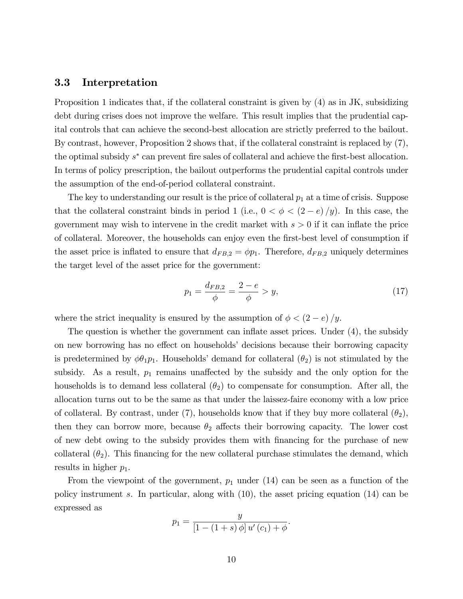#### 3.3 Interpretation

Proposition 1 indicates that, if the collateral constraint is given by (4) as in JK, subsidizing debt during crises does not improve the welfare. This result implies that the prudential capital controls that can achieve the second-best allocation are strictly preferred to the bailout. By contrast, however, Proposition 2 shows that, if the collateral constraint is replaced by (7), the optimal subsidy  $s^*$  can prevent fire sales of collateral and achieve the first-best allocation. In terms of policy prescription, the bailout outperforms the prudential capital controls under the assumption of the end-of-period collateral constraint.

The key to understanding our result is the price of collateral  $p_1$  at a time of crisis. Suppose that the collateral constraint binds in period 1 (i.e.,  $0 < \phi < (2 - e)/y$ ). In this case, the government may wish to intervene in the credit market with  $s > 0$  if it can inflate the price of collateral. Moreover, the households can enjoy even the first-best level of consumption if the asset price is inflated to ensure that  $d_{FB,2} = \phi p_1$ . Therefore,  $d_{FB,2}$  uniquely determines the target level of the asset price for the government:

$$
p_1 = \frac{d_{FB,2}}{\phi} = \frac{2 - e}{\phi} > y,\tag{17}
$$

where the strict inequality is ensured by the assumption of  $\phi < (2 - e)/y$ .

The question is whether the government can inflate asset prices. Under  $(4)$ , the subsidy on new borrowing has no effect on households' decisions because their borrowing capacity is predetermined by  $\phi\theta_1p_1$ . Households' demand for collateral  $(\theta_2)$  is not stimulated by the subsidy. As a result,  $p_1$  remains unaffected by the subsidy and the only option for the households is to demand less collateral  $(\theta_2)$  to compensate for consumption. After all, the allocation turns out to be the same as that under the laissez-faire economy with a low price of collateral. By contrast, under (7), households know that if they buy more collateral  $(\theta_2)$ , then they can borrow more, because  $\theta_2$  affects their borrowing capacity. The lower cost of new debt owing to the subsidy provides them with Önancing for the purchase of new collateral  $(\theta_2)$ . This financing for the new collateral purchase stimulates the demand, which results in higher  $p_1$ .

From the viewpoint of the government,  $p_1$  under (14) can be seen as a function of the policy instrument s. In particular, along with (10), the asset pricing equation (14) can be expressed as

$$
p_1 = \frac{y}{[1 - (1 + s) \phi] u'(c_1) + \phi}.
$$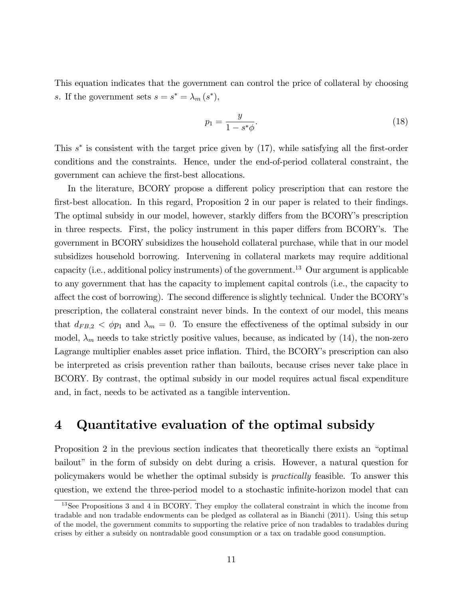This equation indicates that the government can control the price of collateral by choosing s. If the government sets  $s = s^* = \lambda_m (s^*),$ 

$$
p_1 = \frac{y}{1 - s^* \phi}.\tag{18}
$$

This  $s^*$  is consistent with the target price given by  $(17)$ , while satisfying all the first-order conditions and the constraints. Hence, under the end-of-period collateral constraint, the government can achieve the first-best allocations.

In the literature, BCORY propose a different policy prescription that can restore the first-best allocation. In this regard, Proposition 2 in our paper is related to their findings. The optimal subsidy in our model, however, starkly differs from the BCORY's prescription in three respects. First, the policy instrument in this paper differs from BCORY's. The government in BCORY subsidizes the household collateral purchase, while that in our model subsidizes household borrowing. Intervening in collateral markets may require additional capacity (i.e., additional policy instruments) of the government.<sup>13</sup> Our argument is applicable to any government that has the capacity to implement capital controls (i.e., the capacity to affect the cost of borrowing). The second difference is slightly technical. Under the BCORY's prescription, the collateral constraint never binds. In the context of our model, this means that  $d_{FB,2} < \phi p_1$  and  $\lambda_m = 0$ . To ensure the effectiveness of the optimal subsidy in our model,  $\lambda_m$  needs to take strictly positive values, because, as indicated by (14), the non-zero Lagrange multiplier enables asset price inflation. Third, the BCORY's prescription can also be interpreted as crisis prevention rather than bailouts, because crises never take place in BCORY. By contrast, the optimal subsidy in our model requires actual fiscal expenditure and, in fact, needs to be activated as a tangible intervention.

### 4 Quantitative evaluation of the optimal subsidy

Proposition 2 in the previous section indicates that theoretically there exists an "optimal" bailout" in the form of subsidy on debt during a crisis. However, a natural question for policymakers would be whether the optimal subsidy is practically feasible. To answer this question, we extend the three-period model to a stochastic infinite-horizon model that can

<sup>&</sup>lt;sup>13</sup>See Propositions 3 and 4 in BCORY. They employ the collateral constraint in which the income from tradable and non tradable endowments can be pledged as collateral as in Bianchi (2011). Using this setup of the model, the government commits to supporting the relative price of non tradables to tradables during crises by either a subsidy on nontradable good consumption or a tax on tradable good consumption.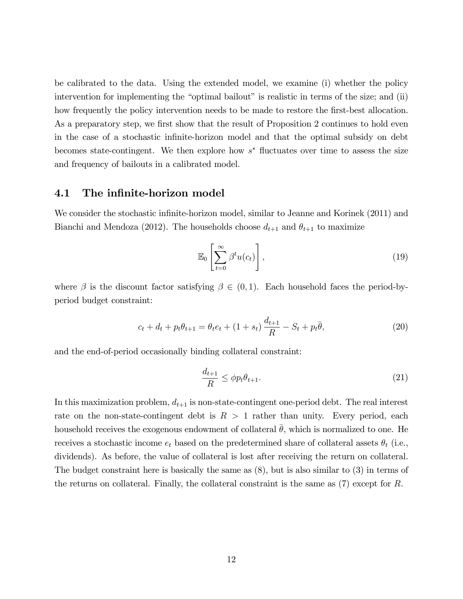be calibrated to the data. Using the extended model, we examine (i) whether the policy intervention for implementing the "optimal bailout" is realistic in terms of the size; and  $(ii)$ how frequently the policy intervention needs to be made to restore the first-best allocation. As a preparatory step, we first show that the result of Proposition 2 continues to hold even in the case of a stochastic infinite-horizon model and that the optimal subsidy on debt becomes state-contingent. We then explore how  $s^*$  fluctuates over time to assess the size and frequency of bailouts in a calibrated model.

#### 4.1 The infinite-horizon model

We consider the stochastic infinite-horizon model, similar to Jeanne and Korinek (2011) and Bianchi and Mendoza (2012). The households choose  $d_{t+1}$  and  $\theta_{t+1}$  to maximize

$$
\mathbb{E}_0\left[\sum_{t=0}^{\infty} \beta^t u(c_t)\right],\tag{19}
$$

where  $\beta$  is the discount factor satisfying  $\beta \in (0,1)$ . Each household faces the period-byperiod budget constraint:

$$
c_t + d_t + p_t \theta_{t+1} = \theta_t e_t + (1 + s_t) \frac{d_{t+1}}{R} - S_t + p_t \bar{\theta}, \qquad (20)
$$

and the end-of-period occasionally binding collateral constraint:

$$
\frac{d_{t+1}}{R} \le \phi p_t \theta_{t+1}.\tag{21}
$$

In this maximization problem,  $d_{t+1}$  is non-state-contingent one-period debt. The real interest rate on the non-state-contingent debt is  $R > 1$  rather than unity. Every period, each household receives the exogenous endowment of collateral  $\theta$ , which is normalized to one. He receives a stochastic income  $e_t$  based on the predetermined share of collateral assets  $\theta_t$  (i.e., dividends). As before, the value of collateral is lost after receiving the return on collateral. The budget constraint here is basically the same as (8), but is also similar to (3) in terms of the returns on collateral. Finally, the collateral constraint is the same as (7) except for R.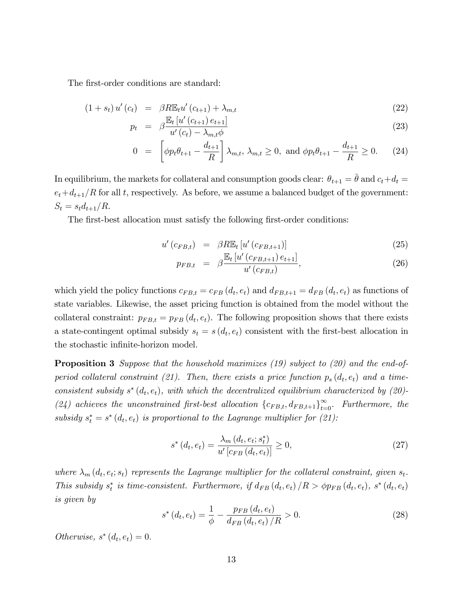The first-order conditions are standard:

$$
(1 + s_t) u'(c_t) = \beta R \mathbb{E}_t u'(c_{t+1}) + \lambda_{m,t} \tag{22}
$$

$$
p_t = \beta \frac{\mathbb{E}_t \left[ u' \left( c_{t+1} \right) e_{t+1} \right]}{u' \left( c_t \right) - \lambda_{m,t} \phi} \tag{23}
$$

$$
0 = \left[ \phi p_t \theta_{t+1} - \frac{d_{t+1}}{R} \right] \lambda_{m,t}, \lambda_{m,t} \ge 0, \text{ and } \phi p_t \theta_{t+1} - \frac{d_{t+1}}{R} \ge 0. \tag{24}
$$

In equilibrium, the markets for collateral and consumption goods clear:  $\theta_{t+1} = \overline{\theta}$  and  $c_t+d_t =$  $e_t+d_{t+1}/R$  for all t, respectively. As before, we assume a balanced budget of the government:  $S_t = s_t d_{t+1}/R.$ 

The first-best allocation must satisfy the following first-order conditions:

$$
u'(c_{FB,t}) = \beta R \mathbb{E}_t \left[ u'(c_{FB,t+1}) \right] \tag{25}
$$

$$
p_{FB,t} = \beta \frac{\mathbb{E}_t \left[ u' \left( c_{FB,t+1} \right) e_{t+1} \right]}{u' \left( c_{FB,t} \right)}, \tag{26}
$$

which yield the policy functions  $c_{FB,t} = c_{FB} (d_t, e_t)$  and  $d_{FB,t+1} = d_{FB} (d_t, e_t)$  as functions of state variables. Likewise, the asset pricing function is obtained from the model without the collateral constraint:  $p_{FB,t} = p_{FB}(d_t, e_t)$ . The following proposition shows that there exists a state-contingent optimal subsidy  $s_t = s(d_t, e_t)$  consistent with the first-best allocation in the stochastic infinite-horizon model.

**Proposition 3** Suppose that the household maximizes (19) subject to (20) and the end-ofperiod collateral constraint (21). Then, there exists a price function  $p_s(d_t, e_t)$  and a timeconsistent subsidy  $s^*(d_t, e_t)$ , with which the decentralized equilibrium characterized by (20)-(24) achieves the unconstrained first-best allocation  $\{c_{FB,t}, d_{FB,t+1}\}_{t=0}^{\infty}$ . Furthermore, the subsidy  $s_t^* = s^* (d_t, e_t)$  is proportional to the Lagrange multiplier for (21):

$$
s^*(d_t, e_t) = \frac{\lambda_m (d_t, e_t; s_t^*)}{u' [c_{FB}(d_t, e_t)]} \ge 0,
$$
\n(27)

where  $\lambda_m(d_t, e_t; s_t)$  represents the Lagrange multiplier for the collateral constraint, given  $s_t$ . This subsidy  $s_t^*$  is time-consistent. Furthermore, if  $d_{FB}(d_t, e_t) / R > \phi p_{FB}(d_t, e_t)$ ,  $s^*(d_t, e_t)$ is given by

$$
s^*(d_t, e_t) = \frac{1}{\phi} - \frac{p_{FB}(d_t, e_t)}{d_{FB}(d_t, e_t)/R} > 0.
$$
 (28)

Otherwise,  $s^*(d_t, e_t) = 0$ .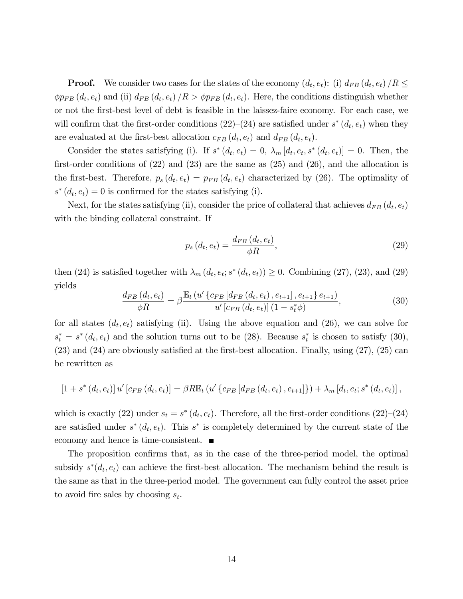**Proof.** We consider two cases for the states of the economy  $(d_t, e_t)$ : (i)  $d_{FB}(d_t, e_t)$  /R  $\leq$  $\phi p_{FB} (d_t, e_t)$  and (ii)  $d_{FB} (d_t, e_t) / R > \phi p_{FB} (d_t, e_t)$ . Here, the conditions distinguish whether or not the Örst-best level of debt is feasible in the laissez-faire economy. For each case, we will confirm that the first-order conditions  $(22)-(24)$  are satisfied under  $s^*(d_t, e_t)$  when they are evaluated at the first-best allocation  $c_{FB}(d_t, e_t)$  and  $d_{FB}(d_t, e_t)$ .

Consider the states satisfying (i). If  $s^*(d_t, e_t) = 0$ ,  $\lambda_m [d_t, e_t, s^*(d_t, e_t)] = 0$ . Then, the first-order conditions of  $(22)$  and  $(23)$  are the same as  $(25)$  and  $(26)$ , and the allocation is the first-best. Therefore,  $p_s(d_t, e_t) = p_{FB}(d_t, e_t)$  characterized by (26). The optimality of  $s^*(d_t, e_t) = 0$  is confirmed for the states satisfying (i).

Next, for the states satisfying (ii), consider the price of collateral that achieves  $d_{FB}(d_t, e_t)$ with the binding collateral constraint. If

$$
p_s(d_t, e_t) = \frac{d_{FB}(d_t, e_t)}{\phi R},
$$
\n
$$
(29)
$$

then (24) is satisfied together with  $\lambda_m(d_t, e_t; s^*(d_t, e_t)) \ge 0$ . Combining (27), (23), and (29) yields

$$
\frac{d_{FB}(d_t, e_t)}{\phi R} = \beta \frac{\mathbb{E}_t \left( u' \left\{ c_{FB} \left[ d_{FB}(d_t, e_t) \right], e_{t+1} \right\}, e_{t+1} \right\} e_{t+1})}{u' \left[ c_{FB}(d_t, e_t) \right] (1 - s_t^* \phi)},
$$
\n(30)

for all states  $(d_t, e_t)$  satisfying (ii). Using the above equation and (26), we can solve for  $s_t^* = s^*(d_t, e_t)$  and the solution turns out to be (28). Because  $s_t^*$  is chosen to satisfy (30),  $(23)$  and  $(24)$  are obviously satisfied at the first-best allocation. Finally, using  $(27)$ ,  $(25)$  can be rewritten as

$$
[1 + s^* (d_t, e_t)] u' [c_{FB} (d_t, e_t)] = \beta R \mathbb{E}_t (u' \{c_{FB} [d_{FB} (d_t, e_t), e_{t+1}]\}) + \lambda_m [d_t, e_t; s^* (d_t, e_t)],
$$

which is exactly (22) under  $s_t = s^*(d_t, e_t)$ . Therefore, all the first-order conditions (22)–(24) are satisfied under  $s^*(d_t, e_t)$ . This  $s^*$  is completely determined by the current state of the economy and hence is time-consistent. ■

The proposition confirms that, as in the case of the three-period model, the optimal subsidy  $s^*(d_t, e_t)$  can achieve the first-best allocation. The mechanism behind the result is the same as that in the three-period model. The government can fully control the asset price to avoid fire sales by choosing  $s_t$ .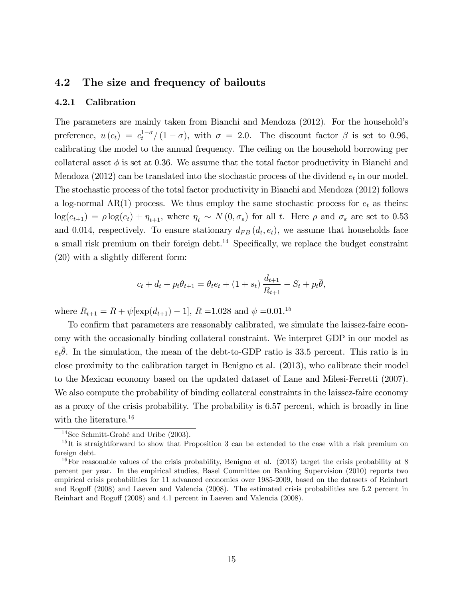### 4.2 The size and frequency of bailouts

#### 4.2.1 Calibration

The parameters are mainly taken from Bianchi and Mendoza (2012). For the householdís preference,  $u(c_t) = c_t^{1-\sigma}/(1-\sigma)$ , with  $\sigma = 2.0$ . The discount factor  $\beta$  is set to 0.96, calibrating the model to the annual frequency. The ceiling on the household borrowing per collateral asset  $\phi$  is set at 0.36. We assume that the total factor productivity in Bianchi and Mendoza (2012) can be translated into the stochastic process of the dividend  $e_t$  in our model. The stochastic process of the total factor productivity in Bianchi and Mendoza (2012) follows a log-normal AR(1) process. We thus employ the same stochastic process for  $e_t$  as theirs:  $log(e_{t+1}) = \rho log(e_t) + \eta_{t+1}$ , where  $\eta_t \sim N(0, \sigma_{\varepsilon})$  for all t. Here  $\rho$  and  $\sigma_{\varepsilon}$  are set to 0.53 and 0.014, respectively. To ensure stationary  $d_{FB}(d_t, e_t)$ , we assume that households face a small risk premium on their foreign debt.<sup>14</sup> Specifically, we replace the budget constraint  $(20)$  with a slightly different form:

$$
c_t + d_t + p_t \theta_{t+1} = \theta_t e_t + (1 + s_t) \frac{d_{t+1}}{R_{t+1}} - S_t + p_t \overline{\theta},
$$

where  $R_{t+1} = R + \psi[\exp(d_{t+1}) - 1], R = 1.028$  and  $\psi = 0.01$ .<sup>15</sup>

To confirm that parameters are reasonably calibrated, we simulate the laissez-faire economy with the occasionally binding collateral constraint. We interpret GDP in our model as  $e_t\overline{\theta}$ . In the simulation, the mean of the debt-to-GDP ratio is 33.5 percent. This ratio is in close proximity to the calibration target in Benigno et al. (2013), who calibrate their model to the Mexican economy based on the updated dataset of Lane and Milesi-Ferretti (2007). We also compute the probability of binding collateral constraints in the laissez-faire economy as a proxy of the crisis probability. The probability is 6.57 percent, which is broadly in line with the literature.<sup>16</sup>

 $14$ See Schmitt-Grohé and Uribe (2003).

<sup>&</sup>lt;sup>15</sup>It is straightforward to show that Proposition 3 can be extended to the case with a risk premium on foreign debt.

<sup>&</sup>lt;sup>16</sup>For reasonable values of the crisis probability, Benigno et al.  $(2013)$  target the crisis probability at 8 percent per year. In the empirical studies, Basel Committee on Banking Supervision (2010) reports two empirical crisis probabilities for 11 advanced economies over 1985-2009, based on the datasets of Reinhart and Rogoff (2008) and Laeven and Valencia (2008). The estimated crisis probabilities are 5.2 percent in Reinhart and Rogoff (2008) and 4.1 percent in Laeven and Valencia (2008).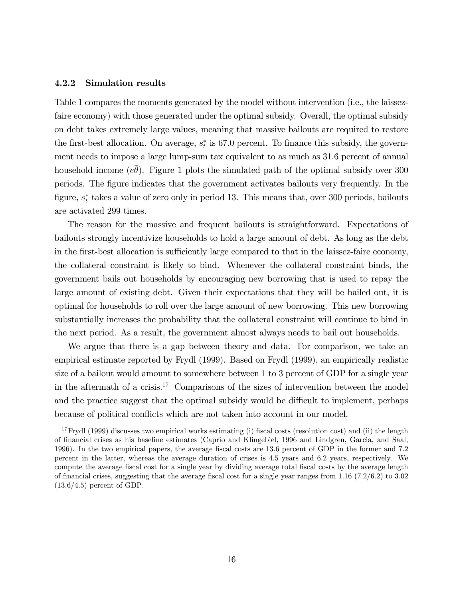#### 4.2.2 Simulation results

Table 1 compares the moments generated by the model without intervention (i.e., the laissezfaire economy) with those generated under the optimal subsidy. Overall, the optimal subsidy on debt takes extremely large values, meaning that massive bailouts are required to restore the first-best allocation. On average,  $s_t^*$  is 67.0 percent. To finance this subsidy, the government needs to impose a large lump-sum tax equivalent to as much as 31.6 percent of annual household income  $(e\bar{\theta})$ . Figure 1 plots the simulated path of the optimal subsidy over 300 periods. The Ögure indicates that the government activates bailouts very frequently. In the figure,  $s_t^*$  takes a value of zero only in period 13. This means that, over 300 periods, bailouts are activated 299 times.

The reason for the massive and frequent bailouts is straightforward. Expectations of bailouts strongly incentivize households to hold a large amount of debt. As long as the debt in the first-best allocation is sufficiently large compared to that in the laissez-faire economy, the collateral constraint is likely to bind. Whenever the collateral constraint binds, the government bails out households by encouraging new borrowing that is used to repay the large amount of existing debt. Given their expectations that they will be bailed out, it is optimal for households to roll over the large amount of new borrowing. This new borrowing substantially increases the probability that the collateral constraint will continue to bind in the next period. As a result, the government almost always needs to bail out households.

We argue that there is a gap between theory and data. For comparison, we take an empirical estimate reported by Frydl (1999). Based on Frydl (1999), an empirically realistic size of a bailout would amount to somewhere between 1 to 3 percent of GDP for a single year in the aftermath of a crisis.<sup>17</sup> Comparisons of the sizes of intervention between the model and the practice suggest that the optimal subsidy would be difficult to implement, perhaps because of political conflicts which are not taken into account in our model.

<sup>&</sup>lt;sup>17</sup>Frydl (1999) discusses two empirical works estimating (i) fiscal costs (resolution cost) and (ii) the length of Önancial crises as his baseline estimates (Caprio and Klingebiel, 1996 and Lindgren, Garcia, and Saal, 1996). In the two empirical papers, the average Öscal costs are 13.6 percent of GDP in the former and 7.2 percent in the latter, whereas the average duration of crises is 4.5 years and 6.2 years, respectively. We compute the average fiscal cost for a single year by dividing average total fiscal costs by the average length of financial crises, suggesting that the average fiscal cost for a single year ranges from  $1.16$  (7.2/6.2) to 3.02  $(13.6/4.5)$  percent of GDP.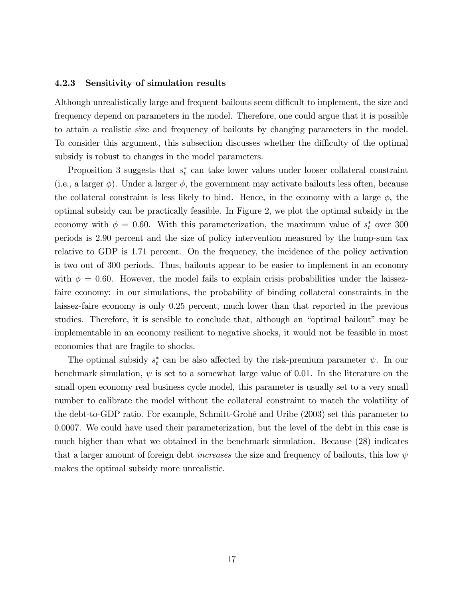#### 4.2.3 Sensitivity of simulation results

Although unrealistically large and frequent bailouts seem difficult to implement, the size and frequency depend on parameters in the model. Therefore, one could argue that it is possible to attain a realistic size and frequency of bailouts by changing parameters in the model. To consider this argument, this subsection discusses whether the difficulty of the optimal subsidy is robust to changes in the model parameters.

Proposition 3 suggests that  $s_t^*$  can take lower values under looser collateral constraint (i.e., a larger  $\phi$ ). Under a larger  $\phi$ , the government may activate bailouts less often, because the collateral constraint is less likely to bind. Hence, in the economy with a large  $\phi$ , the optimal subsidy can be practically feasible. In Figure 2, we plot the optimal subsidy in the economy with  $\phi = 0.60$ . With this parameterization, the maximum value of  $s_t^*$  over 300 periods is 2.90 percent and the size of policy intervention measured by the lump-sum tax relative to GDP is 1.71 percent. On the frequency, the incidence of the policy activation is two out of 300 periods. Thus, bailouts appear to be easier to implement in an economy with  $\phi = 0.60$ . However, the model fails to explain crisis probabilities under the laissezfaire economy: in our simulations, the probability of binding collateral constraints in the laissez-faire economy is only 0.25 percent, much lower than that reported in the previous studies. Therefore, it is sensible to conclude that, although an "optimal bailout" may be implementable in an economy resilient to negative shocks, it would not be feasible in most economies that are fragile to shocks.

The optimal subsidy  $s_t^*$  can be also affected by the risk-premium parameter  $\psi$ . In our benchmark simulation,  $\psi$  is set to a somewhat large value of 0.01. In the literature on the small open economy real business cycle model, this parameter is usually set to a very small number to calibrate the model without the collateral constraint to match the volatility of the debt-to-GDP ratio. For example, Schmitt-GrohÈ and Uribe (2003) set this parameter to 0.0007. We could have used their parameterization, but the level of the debt in this case is much higher than what we obtained in the benchmark simulation. Because (28) indicates that a larger amount of foreign debt *increases* the size and frequency of bailouts, this low  $\psi$ makes the optimal subsidy more unrealistic.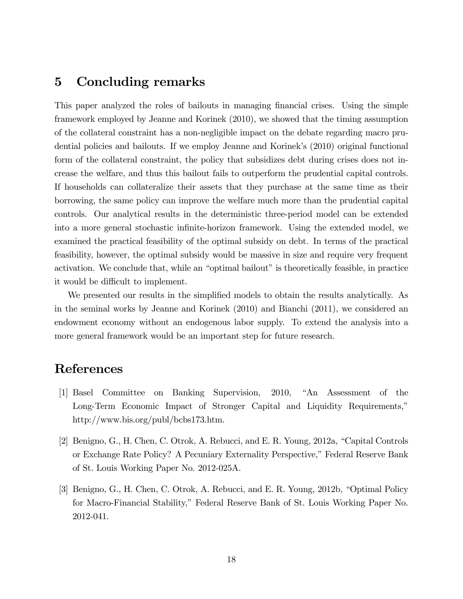### 5 Concluding remarks

This paper analyzed the roles of bailouts in managing financial crises. Using the simple framework employed by Jeanne and Korinek (2010), we showed that the timing assumption of the collateral constraint has a non-negligible impact on the debate regarding macro prudential policies and bailouts. If we employ Jeanne and Korinek's (2010) original functional form of the collateral constraint, the policy that subsidizes debt during crises does not increase the welfare, and thus this bailout fails to outperform the prudential capital controls. If households can collateralize their assets that they purchase at the same time as their borrowing, the same policy can improve the welfare much more than the prudential capital controls. Our analytical results in the deterministic three-period model can be extended into a more general stochastic infinite-horizon framework. Using the extended model, we examined the practical feasibility of the optimal subsidy on debt. In terms of the practical feasibility, however, the optimal subsidy would be massive in size and require very frequent activation. We conclude that, while an "optimal bailout" is theoretically feasible, in practice it would be difficult to implement.

We presented our results in the simplified models to obtain the results analytically. As in the seminal works by Jeanne and Korinek (2010) and Bianchi (2011), we considered an endowment economy without an endogenous labor supply. To extend the analysis into a more general framework would be an important step for future research.

### References

- [1] Basel Committee on Banking Supervision, 2010, "An Assessment of the Long-Term Economic Impact of Stronger Capital and Liquidity Requirements, http://www.bis.org/publ/bcbs173.htm.
- [2] Benigno, G., H. Chen, C. Otrok, A. Rebucci, and E. R. Young, 2012a, "Capital Controls or Exchange Rate Policy? A Pecuniary Externality Perspective," Federal Reserve Bank of St. Louis Working Paper No. 2012-025A.
- [3] Benigno, G., H. Chen, C. Otrok, A. Rebucci, and E. R. Young,  $2012b$ , "Optimal Policy for Macro-Financial Stability,î Federal Reserve Bank of St. Louis Working Paper No. 2012-041.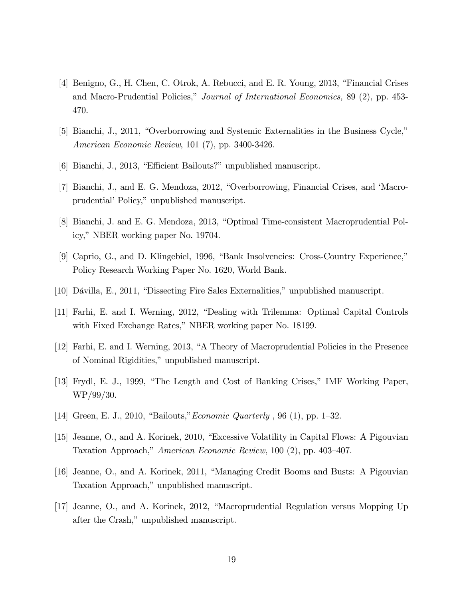- [4] Benigno, G., H. Chen, C. Otrok, A. Rebucci, and E. R. Young, 2013, "Financial Crises and Macro-Prudential Policies," Journal of International Economics, 89 (2), pp. 453-470.
- [5] Bianchi, J., 2011, "Overborrowing and Systemic Externalities in the Business Cycle," American Economic Review, 101 (7), pp. 3400-3426.
- [6] Bianchi, J., 2013, "Efficient Bailouts?" unpublished manuscript.
- [7] Bianchi, J., and E. G. Mendoza, 2012, "Overborrowing, Financial Crises, and 'Macroprudential' Policy," unpublished manuscript.
- [8] Bianchi, J. and E. G. Mendoza, 2013, "Optimal Time-consistent Macroprudential Policy," NBER working paper No. 19704.
- [9] Caprio, G., and D. Klingebiel, 1996, "Bank Insolvencies: Cross-Country Experience," Policy Research Working Paper No. 1620, World Bank.
- [10] Dávilla, E., 2011, "Dissecting Fire Sales Externalities," unpublished manuscript.
- [11] Farhi, E. and I. Werning, 2012, "Dealing with Trilemma: Optimal Capital Controls with Fixed Exchange Rates," NBER working paper No. 18199.
- [12] Farhi, E. and I. Werning, 2013, "A Theory of Macroprudential Policies in the Presence of Nominal Rigidities," unpublished manuscript.
- [13] Frydl, E. J., 1999, "The Length and Cost of Banking Crises," IMF Working Paper, WP/99/30.
- [14] Green, E. J., 2010, "Bailouts," *Economic Quarterly* , 96 (1), pp. 1–32.
- [15] Jeanne, O., and A. Korinek, 2010, "Excessive Volatility in Capital Flows: A Pigouvian Taxation Approach," American Economic Review, 100 (2), pp. 403–407.
- [16] Jeanne, O., and A. Korinek, 2011, "Managing Credit Booms and Busts: A Pigouvian Taxation Approach," unpublished manuscript.
- [17] Jeanne, O., and A. Korinek, 2012, "Macroprudential Regulation versus Mopping Up after the Crash," unpublished manuscript.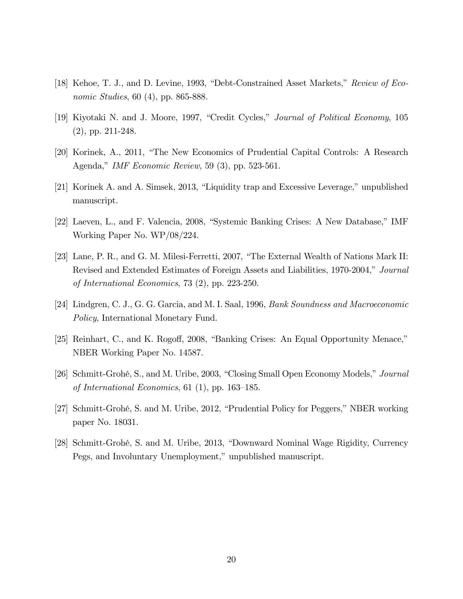- [18] Kehoe, T. J., and D. Levine, 1993, "Debt-Constrained Asset Markets," Review of Economic Studies, 60 (4), pp. 865-888.
- [19] Kiyotaki N. and J. Moore, 1997, "Credit Cycles," *Journal of Political Economy*, 105 (2), pp. 211-248.
- [20] Korinek, A., 2011, "The New Economics of Prudential Capital Controls: A Research Agenda," IMF Economic Review, 59  $(3)$ , pp. 523-561.
- [21] Korinek A. and A. Simsek, 2013, "Liquidity trap and Excessive Leverage," unpublished manuscript.
- [22] Laeven, L., and F. Valencia, 2008, "Systemic Banking Crises: A New Database," IMF Working Paper No. WP/08/224.
- [23] Lane, P. R., and G. M. Milesi-Ferretti, 2007, "The External Wealth of Nations Mark II: Revised and Extended Estimates of Foreign Assets and Liabilities, 1970-2004," Journal of International Economics, 73 (2), pp. 223-250.
- [24] Lindgren, C. J., G. G. Garcia, and M. I. Saal, 1996, Bank Soundness and Macroeconomic Policy, International Monetary Fund.
- [25] Reinhart, C., and K. Rogoff, 2008, "Banking Crises: An Equal Opportunity Menace," NBER Working Paper No. 14587.
- [26] Schmitt-Grohé, S., and M. Uribe, 2003, "Closing Small Open Economy Models," Journal of International Economics, 61 (1), pp.  $163-185$ .
- [27] Schmitt-Grohé, S. and M. Uribe, 2012, "Prudential Policy for Peggers," NBER working paper No. 18031.
- [28] Schmitt-Grohé, S. and M. Uribe, 2013, "Downward Nominal Wage Rigidity, Currency Pegs, and Involuntary Unemployment," unpublished manuscript.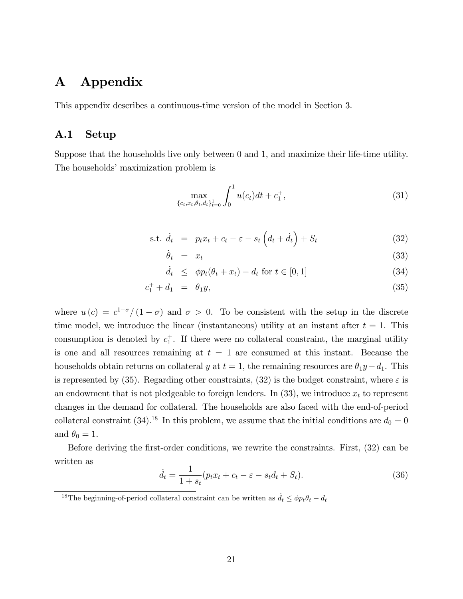### A Appendix

This appendix describes a continuous-time version of the model in Section 3.

### A.1 Setup

Suppose that the households live only between 0 and 1, and maximize their life-time utility. The households' maximization problem is

$$
\max_{\{c_t, x_t, \theta_t, d_t\}_{t=0}^1} \int_0^1 u(c_t)dt + c_1^+, \tag{31}
$$

s.t. 
$$
\dot{d}_t = p_t x_t + c_t - \varepsilon - s_t \left( d_t + \dot{d}_t \right) + S_t \tag{32}
$$

$$
\dot{\theta}_t = x_t \tag{33}
$$

$$
\dot{d}_t \le \phi p_t(\theta_t + x_t) - d_t \text{ for } t \in [0, 1] \tag{34}
$$

$$
c_1^+ + d_1 = \theta_1 y,\tag{35}
$$

where  $u(c) = c^{1-\sigma}/(1-\sigma)$  and  $\sigma > 0$ . To be consistent with the setup in the discrete time model, we introduce the linear (instantaneous) utility at an instant after  $t = 1$ . This consumption is denoted by  $c_1^+$ . If there were no collateral constraint, the marginal utility is one and all resources remaining at  $t = 1$  are consumed at this instant. Because the households obtain returns on collateral y at  $t = 1$ , the remaining resources are  $\theta_1 y - d_1$ . This is represented by (35). Regarding other constraints, (32) is the budget constraint, where  $\varepsilon$  is an endowment that is not pledgeable to foreign lenders. In  $(33)$ , we introduce  $x_t$  to represent changes in the demand for collateral. The households are also faced with the end-of-period collateral constraint (34).<sup>18</sup> In this problem, we assume that the initial conditions are  $d_0 = 0$ and  $\theta_0 = 1$ .

Before deriving the first-order conditions, we rewrite the constraints. First, (32) can be written as

$$
\dot{d}_t = \frac{1}{1+s_t}(p_t x_t + c_t - \varepsilon - s_t d_t + S_t). \tag{36}
$$

<sup>&</sup>lt;sup>18</sup>The beginning-of-period collateral constraint can be written as  $\dot{d}_t \leq \phi p_t \theta_t - d_t$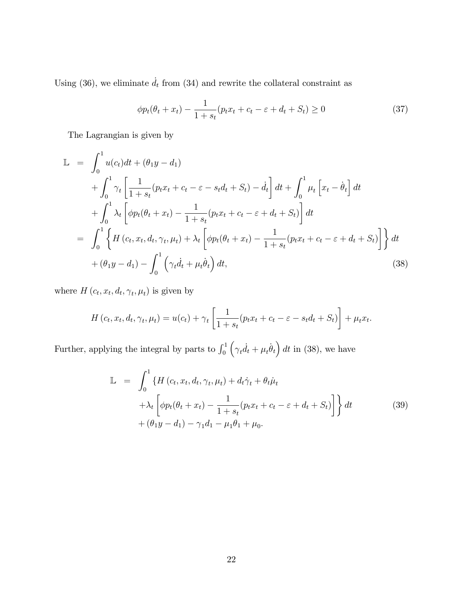Using (36), we eliminate  $\dot{d}_t$  from (34) and rewrite the collateral constraint as

$$
\phi p_t(\theta_t + x_t) - \frac{1}{1+s_t}(p_t x_t + c_t - \varepsilon + d_t + S_t) \ge 0
$$
\n(37)

The Lagrangian is given by

$$
\mathbb{L} = \int_0^1 u(c_t)dt + (\theta_1 y - d_1) \n+ \int_0^1 \gamma_t \left[ \frac{1}{1 + s_t} (p_t x_t + c_t - \varepsilon - s_t d_t + S_t) - \dot{d}_t \right] dt + \int_0^1 \mu_t \left[ x_t - \dot{\theta}_t \right] dt \n+ \int_0^1 \lambda_t \left[ \phi p_t (\theta_t + x_t) - \frac{1}{1 + s_t} (p_t x_t + c_t - \varepsilon + d_t + S_t) \right] dt \n= \int_0^1 \left\{ H(c_t, x_t, d_t, \gamma_t, \mu_t) + \lambda_t \left[ \phi p_t (\theta_t + x_t) - \frac{1}{1 + s_t} (p_t x_t + c_t - \varepsilon + d_t + S_t) \right] \right\} dt \n+ (\theta_1 y - d_1) - \int_0^1 \left( \gamma_t \dot{d}_t + \mu_t \dot{\theta}_t \right) dt,
$$
\n(38)

where  $H(c_t, x_t, d_t, \gamma_t, \mu_t)$  is given by

$$
H(c_t, x_t, d_t, \gamma_t, \mu_t) = u(c_t) + \gamma_t \left[ \frac{1}{1 + s_t} (p_t x_t + c_t - \varepsilon - s_t d_t + S_t) \right] + \mu_t x_t.
$$

Further, applying the integral by parts to  $\int_0^1$  $(\gamma_t \dot{d}_t + \mu_t \dot{\theta}_t) dt$  in (38), we have

$$
\mathbb{L} = \int_0^1 \{ H(c_t, x_t, d_t, \gamma_t, \mu_t) + d_t \dot{\gamma}_t + \theta_t \dot{\mu}_t \n+ \lambda_t \left[ \phi p_t (\theta_t + x_t) - \frac{1}{1 + s_t} (p_t x_t + c_t - \varepsilon + d_t + S_t) \right] \} dt \qquad (39) \n+ (\theta_1 y - d_1) - \gamma_1 d_1 - \mu_1 \theta_1 + \mu_0.
$$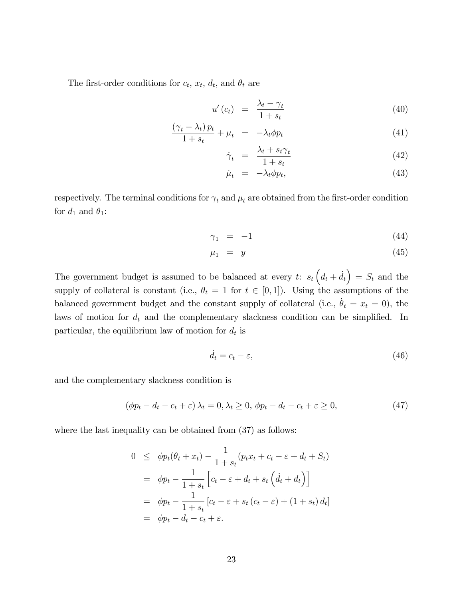The first-order conditions for  $c_t$ ,  $x_t$ ,  $d_t$ , and  $\theta_t$  are

$$
u'(c_t) = \frac{\lambda_t - \gamma_t}{1 + s_t} \tag{40}
$$

$$
\frac{(\gamma_t - \lambda_t) p_t}{1 + s_t} + \mu_t = -\lambda_t \phi p_t \tag{41}
$$

$$
\dot{\gamma}_t = \frac{\lambda_t + s_t \gamma_t}{1 + s_t} \tag{42}
$$

$$
\dot{\mu}_t = -\lambda_t \phi p_t,\tag{43}
$$

respectively. The terminal conditions for  $\gamma_t$  and  $\mu_t$  are obtained from the first-order condition for  $d_1$  and  $\theta_1$ :

$$
\gamma_1 = -1 \tag{44}
$$

$$
\mu_1 = y \tag{45}
$$

The government budget is assumed to be balanced at every t:  $s_t (d_t + \dot{d}_t) = S_t$  and the supply of collateral is constant (i.e.,  $\theta_t = 1$  for  $t \in [0, 1]$ ). Using the assumptions of the balanced government budget and the constant supply of collateral (i.e.,  $\dot{\theta}_t = x_t = 0$ ), the laws of motion for  $d_t$  and the complementary slackness condition can be simplified. In particular, the equilibrium law of motion for  $d_t$  is

$$
\dot{d}_t = c_t - \varepsilon,\tag{46}
$$

and the complementary slackness condition is

$$
(\phi p_t - d_t - c_t + \varepsilon) \lambda_t = 0, \lambda_t \ge 0, \ \phi p_t - d_t - c_t + \varepsilon \ge 0,
$$
\n
$$
(47)
$$

where the last inequality can be obtained from  $(37)$  as follows:

$$
0 \leq \phi p_t(\theta_t + x_t) - \frac{1}{1+s_t}(p_t x_t + c_t - \varepsilon + d_t + S_t)
$$
  
=  $\phi p_t - \frac{1}{1+s_t} \left[ c_t - \varepsilon + d_t + s_t \left( \dot{d}_t + d_t \right) \right]$   
=  $\phi p_t - \frac{1}{1+s_t} \left[ c_t - \varepsilon + s_t \left( c_t - \varepsilon \right) + (1+s_t) d_t \right]$   
=  $\phi p_t - d_t - c_t + \varepsilon$ .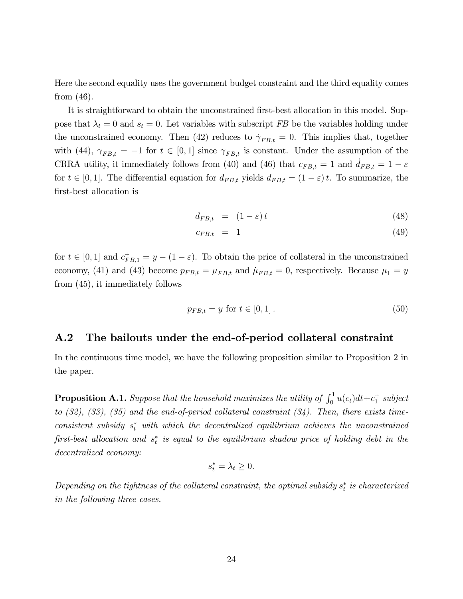Here the second equality uses the government budget constraint and the third equality comes from (46).

It is straightforward to obtain the unconstrained first-best allocation in this model. Suppose that  $\lambda_t = 0$  and  $s_t = 0$ . Let variables with subscript FB be the variables holding under the unconstrained economy. Then (42) reduces to  $\dot{\gamma}_{FB,t} = 0$ . This implies that, together with (44),  $\gamma_{FB,t} = -1$  for  $t \in [0,1]$  since  $\gamma_{FB,t}$  is constant. Under the assumption of the CRRA utility, it immediately follows from (40) and (46) that  $c_{FB,t} = 1$  and  $d_{FB,t} = 1 - \varepsilon$ for  $t \in [0, 1]$ . The differential equation for  $d_{FB,t}$  yields  $d_{FB,t} = (1 - \varepsilon)t$ . To summarize, the first-best allocation is

$$
d_{FB,t} = (1 - \varepsilon)t \tag{48}
$$

$$
c_{FB,t} = 1 \tag{49}
$$

for  $t \in [0, 1]$  and  $c_{FB,1}^+ = y - (1 - \varepsilon)$ . To obtain the price of collateral in the unconstrained economy, (41) and (43) become  $p_{FB,t} = \mu_{FB,t}$  and  $\mu_{FB,t} = 0$ , respectively. Because  $\mu_1 = y$ from (45), it immediately follows

$$
p_{FB,t} = y \text{ for } t \in [0,1]. \tag{50}
$$

#### A.2 The bailouts under the end-of-period collateral constraint

In the continuous time model, we have the following proposition similar to Proposition 2 in the paper.

**Proposition A.1.** Suppose that the household maximizes the utility of  $\int_0^1 u(c_t)dt + c_1^+$  subject to  $(32)$ ,  $(33)$ ,  $(35)$  and the end-of-period collateral constraint  $(34)$ . Then, there exists time $consistent$  subsidy  $s_t^*$  with which the decentralized equilibrium achieves the unconstrained first-best allocation and  $s_t^*$  is equal to the equilibrium shadow price of holding debt in the decentralized economy:

$$
s_t^* = \lambda_t \geq 0.
$$

Depending on the tightness of the collateral constraint, the optimal subsidy  $s_t^*$  is characterized in the following three cases.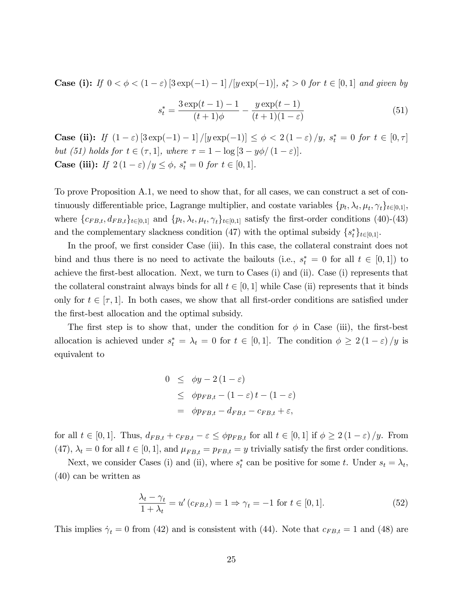**Case (i):** If  $0 < \phi < (1 - \varepsilon) [3 \exp(-1) - 1] / [y \exp(-1)]$ ,  $s_t^* > 0$  for  $t \in [0, 1]$  and given by

$$
s_t^* = \frac{3\exp(t-1) - 1}{(t+1)\phi} - \frac{y\exp(t-1)}{(t+1)(1-\varepsilon)}
$$
(51)

**Case (ii):** If  $(1 - \varepsilon) [3 \exp(-1) - 1] / [y \exp(-1)] \le \phi < 2(1 - \varepsilon) / y$ ,  $s_t^* = 0$  for  $t \in [0, \tau]$ but (51) holds for  $t \in (\tau, 1]$ , where  $\tau = 1 - \log [3 - y\phi/(1 - \varepsilon)].$ **Case (iii):** If  $2(1 - \varepsilon)/y \le \phi$ ,  $s_t^* = 0$  for  $t \in [0, 1]$ .

To prove Proposition A.1, we need to show that, for all cases, we can construct a set of continuously differentiable price, Lagrange multiplier, and costate variables  $\{p_t, \lambda_t, \mu_t, \gamma_t\}_{t \in [0,1]},$ where  $\{c_{FB,t}, d_{FB,t}\}_{t\in[0,1]}$  and  $\{p_t, \lambda_t, \mu_t, \gamma_t\}_{t\in[0,1]}$  satisfy the first-order conditions (40)-(43) and the complementary slackness condition (47) with the optimal subsidy  $\{s_t^*\}_{t\in[0,1]}$ .

In the proof, we first consider Case (iii). In this case, the collateral constraint does not bind and thus there is no need to activate the bailouts (i.e.,  $s_t^* = 0$  for all  $t \in [0, 1]$ ) to achieve the first-best allocation. Next, we turn to Cases (i) and (ii). Case (i) represents that the collateral constraint always binds for all  $t \in [0, 1]$  while Case (ii) represents that it binds only for  $t \in [\tau, 1]$ . In both cases, we show that all first-order conditions are satisfied under the first-best allocation and the optimal subsidy.

The first step is to show that, under the condition for  $\phi$  in Case (iii), the first-best allocation is achieved under  $s_t^* = \lambda_t = 0$  for  $t \in [0, 1]$ . The condition  $\phi \geq 2(1 - \varepsilon)/y$  is equivalent to

$$
0 \leq \phi y - 2(1 - \varepsilon)
$$
  
\n
$$
\leq \phi p_{FB,t} - (1 - \varepsilon)t - (1 - \varepsilon)
$$
  
\n
$$
= \phi p_{FB,t} - d_{FB,t} - c_{FB,t} + \varepsilon,
$$

for all  $t \in [0, 1]$ . Thus,  $d_{FB,t} + c_{FB,t} - \varepsilon \leq \phi p_{FB,t}$  for all  $t \in [0, 1]$  if  $\phi \geq 2 (1 - \varepsilon) / y$ . From (47),  $\lambda_t = 0$  for all  $t \in [0, 1]$ , and  $\mu_{FB,t} = p_{FB,t} = y$  trivially satisfy the first order conditions.

Next, we consider Cases (i) and (ii), where  $s_t^*$  can be positive for some t. Under  $s_t = \lambda_t$ , (40) can be written as

$$
\frac{\lambda_t - \gamma_t}{1 + \lambda_t} = u'(c_{FB,t}) = 1 \Rightarrow \gamma_t = -1 \text{ for } t \in [0,1].
$$
\n
$$
(52)
$$

This implies  $\dot{\gamma}_t = 0$  from (42) and is consistent with (44). Note that  $c_{FB,t} = 1$  and (48) are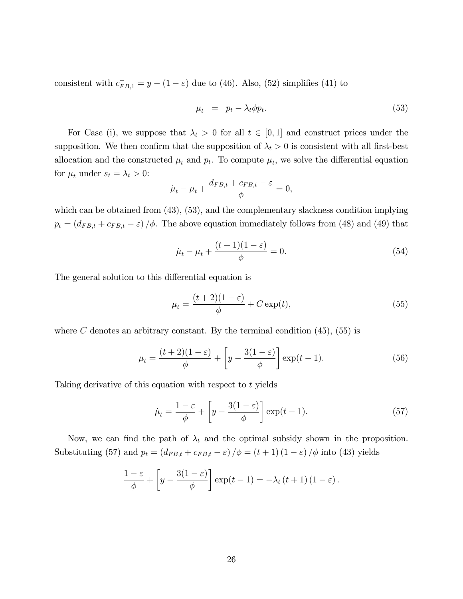consistent with  $c_{FB,1}^+ = y - (1 - \varepsilon)$  due to (46). Also, (52) simplifies (41) to

$$
\mu_t = p_t - \lambda_t \phi p_t. \tag{53}
$$

For Case (i), we suppose that  $\lambda_t > 0$  for all  $t \in [0, 1]$  and construct prices under the supposition. We then confirm that the supposition of  $\lambda_t > 0$  is consistent with all first-best allocation and the constructed  $\mu_t$  and  $p_t$ . To compute  $\mu_t$ , we solve the differential equation for  $\mu_t$  under  $s_t = \lambda_t > 0$ :

$$
\dot{\mu}_t - \mu_t + \frac{d_{FB,t} + c_{FB,t} - \varepsilon}{\phi} = 0,
$$

which can be obtained from  $(43)$ ,  $(53)$ , and the complementary slackness condition implying  $p_t = (d_{FB,t} + c_{FB,t} - \varepsilon)/\phi$ . The above equation immediately follows from (48) and (49) that

$$
\dot{\mu}_t - \mu_t + \frac{(t+1)(1-\varepsilon)}{\phi} = 0.
$$
\n(54)

The general solution to this differential equation is

$$
\mu_t = \frac{(t+2)(1-\varepsilon)}{\phi} + C \exp(t),\tag{55}
$$

where C denotes an arbitrary constant. By the terminal condition  $(45)$ ,  $(55)$  is

$$
\mu_t = \frac{(t+2)(1-\varepsilon)}{\phi} + \left[y - \frac{3(1-\varepsilon)}{\phi}\right] \exp(t-1).
$$
\n(56)

Taking derivative of this equation with respect to t yields

$$
\dot{\mu}_t = \frac{1 - \varepsilon}{\phi} + \left[ y - \frac{3(1 - \varepsilon)}{\phi} \right] \exp(t - 1). \tag{57}
$$

Now, we can find the path of  $\lambda_t$  and the optimal subsidy shown in the proposition. Substituting (57) and  $p_t = (d_{FB,t} + c_{FB,t} - \varepsilon) / \phi = (t+1) (1-\varepsilon) / \phi$  into (43) yields

$$
\frac{1-\varepsilon}{\phi} + \left[ y - \frac{3(1-\varepsilon)}{\phi} \right] \exp(t-1) = -\lambda_t (t+1) (1-\varepsilon).
$$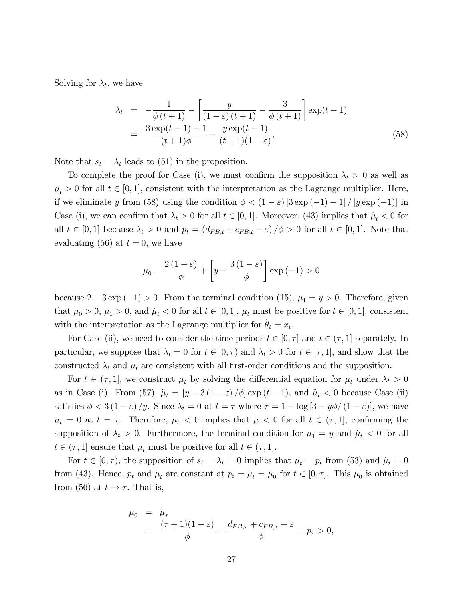Solving for  $\lambda_t$ , we have

$$
\lambda_t = -\frac{1}{\phi(t+1)} - \left[ \frac{y}{(1-\varepsilon)(t+1)} - \frac{3}{\phi(t+1)} \right] \exp(t-1)
$$
  
= 
$$
\frac{3 \exp(t-1) - 1}{(t+1)\phi} - \frac{y \exp(t-1)}{(t+1)(1-\varepsilon)},
$$
(58)

Note that  $s_t = \lambda_t$  leads to (51) in the proposition.

To complete the proof for Case (i), we must confirm the supposition  $\lambda_t > 0$  as well as  $\mu_t > 0$  for all  $t \in [0, 1]$ , consistent with the interpretation as the Lagrange multiplier. Here, if we eliminate y from (58) using the condition  $\phi < (1 - \varepsilon) [3 \exp(-1) - 1] / [y \exp(-1)]$  in Case (i), we can confirm that  $\lambda_t > 0$  for all  $t \in [0, 1]$ . Moreover, (43) implies that  $\mu_t < 0$  for all  $t \in [0, 1]$  because  $\lambda_t > 0$  and  $p_t = (d_{FB,t} + c_{FB,t} - \varepsilon) / \phi > 0$  for all  $t \in [0, 1]$ . Note that evaluating (56) at  $t = 0$ , we have

$$
\mu_0 = \frac{2(1-\varepsilon)}{\phi} + \left[ y - \frac{3(1-\varepsilon)}{\phi} \right] \exp(-1) > 0
$$

because  $2 - 3 \exp(-1) > 0$ . From the terminal condition (15),  $\mu_1 = y > 0$ . Therefore, given that  $\mu_0 > 0$ ,  $\mu_1 > 0$ , and  $\mu_t < 0$  for all  $t \in [0, 1]$ ,  $\mu_t$  must be positive for  $t \in [0, 1]$ , consistent with the interpretation as the Lagrange multiplier for  $\dot{\theta}_t = x_t$ .

For Case (ii), we need to consider the time periods  $t \in [0, \tau]$  and  $t \in (\tau, 1]$  separately. In particular, we suppose that  $\lambda_t = 0$  for  $t \in [0, \tau)$  and  $\lambda_t > 0$  for  $t \in [\tau, 1]$ , and show that the constructed  $\lambda_t$  and  $\mu_t$  are consistent with all first-order conditions and the supposition.

For  $t \in (\tau, 1]$ , we construct  $\mu_t$  by solving the differential equation for  $\mu_t$  under  $\lambda_t > 0$ as in Case (i). From (57),  $\ddot{\mu}_t = \left[y - 3(1 - \varepsilon)/\phi\right] \exp(t - 1)$ , and  $\ddot{\mu}_t < 0$  because Case (ii) satisfies  $\phi < 3(1-\varepsilon)/y$ . Since  $\lambda_t = 0$  at  $t = \tau$  where  $\tau = 1 - \log[3 - y\phi/(1-\varepsilon)]$ , we have  $\dot{\mu}_t = 0$  at  $t = \tau$ . Therefore,  $\ddot{\mu}_t < 0$  implies that  $\dot{\mu} < 0$  for all  $t \in (\tau, 1]$ , confirming the supposition of  $\lambda_t > 0$ . Furthermore, the terminal condition for  $\mu_1 = y$  and  $\mu_t < 0$  for all  $t \in (\tau, 1]$  ensure that  $\mu_t$  must be positive for all  $t \in (\tau, 1]$ .

For  $t \in [0, \tau)$ , the supposition of  $s_t = \lambda_t = 0$  implies that  $\mu_t = p_t$  from (53) and  $\mu_t = 0$ from (43). Hence,  $p_t$  and  $\mu_t$  are constant at  $p_t = \mu_t = \mu_0$  for  $t \in [0, \tau]$ . This  $\mu_0$  is obtained from (56) at  $t \to \tau$ . That is,

$$
\mu_0 = \mu_{\tau}
$$
  
=  $\frac{(\tau + 1)(1 - \varepsilon)}{\phi} = \frac{d_{FB,\tau} + c_{FB,\tau} - \varepsilon}{\phi} = p_{\tau} > 0,$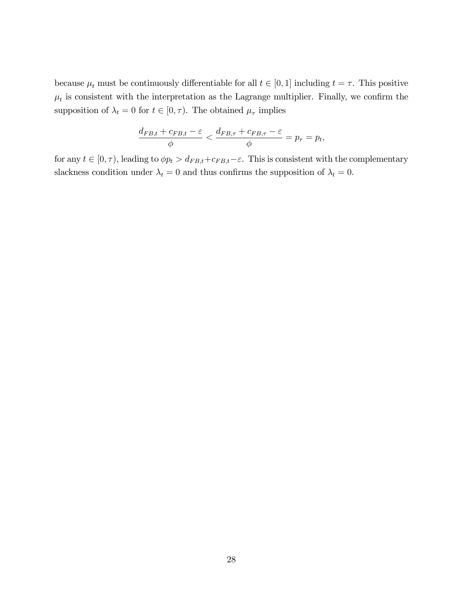because  $\mu_t$  must be continuously differentiable for all  $t \in [0, 1]$  including  $t = \tau$ . This positive  $\mu_t$  is consistent with the interpretation as the Lagrange multiplier. Finally, we confirm the supposition of  $\lambda_t = 0$  for  $t \in [0, \tau)$ . The obtained  $\mu_{\tau}$  implies

$$
\frac{d_{FB,t} + c_{FB,t} - \varepsilon}{\phi} < \frac{d_{FB,\tau} + c_{FB,\tau} - \varepsilon}{\phi} = p_{\tau} = p_t,
$$

for any  $t \in [0, \tau)$ , leading to  $\phi p_t > d_{FB,t}+c_{FB,t}-\varepsilon$ . This is consistent with the complementary slackness condition under  $\lambda_t = 0$  and thus confirms the supposition of  $\lambda_t = 0$ .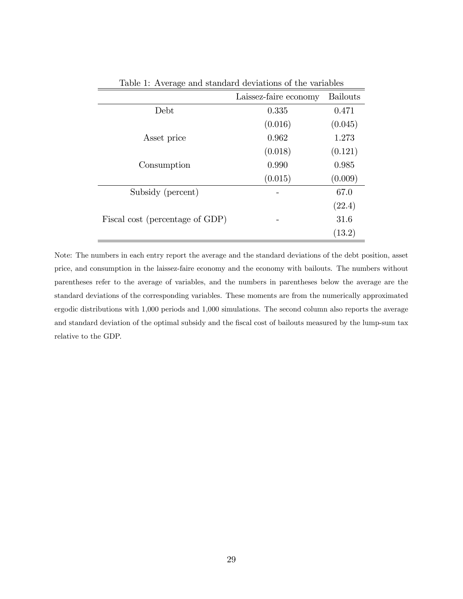|                                 | Laissez-faire economy | <b>Bailouts</b> |
|---------------------------------|-----------------------|-----------------|
| Debt                            | 0.335                 | 0.471           |
|                                 | (0.016)               | (0.045)         |
| Asset price                     | 0.962                 | 1.273           |
|                                 | (0.018)               | (0.121)         |
| Consumption                     | 0.990                 | 0.985           |
|                                 | (0.015)               | (0.009)         |
| Subsidy (percent)               |                       | 67.0            |
|                                 |                       | (22.4)          |
| Fiscal cost (percentage of GDP) |                       | 31.6            |
|                                 |                       | (13.2)          |

Table 1: Average and standard deviations of the variables

Note: The numbers in each entry report the average and the standard deviations of the debt position, asset price, and consumption in the laissez-faire economy and the economy with bailouts. The numbers without parentheses refer to the average of variables, and the numbers in parentheses below the average are the standard deviations of the corresponding variables. These moments are from the numerically approximated ergodic distributions with 1,000 periods and 1,000 simulations. The second column also reports the average and standard deviation of the optimal subsidy and the fiscal cost of bailouts measured by the lump-sum tax relative to the GDP.